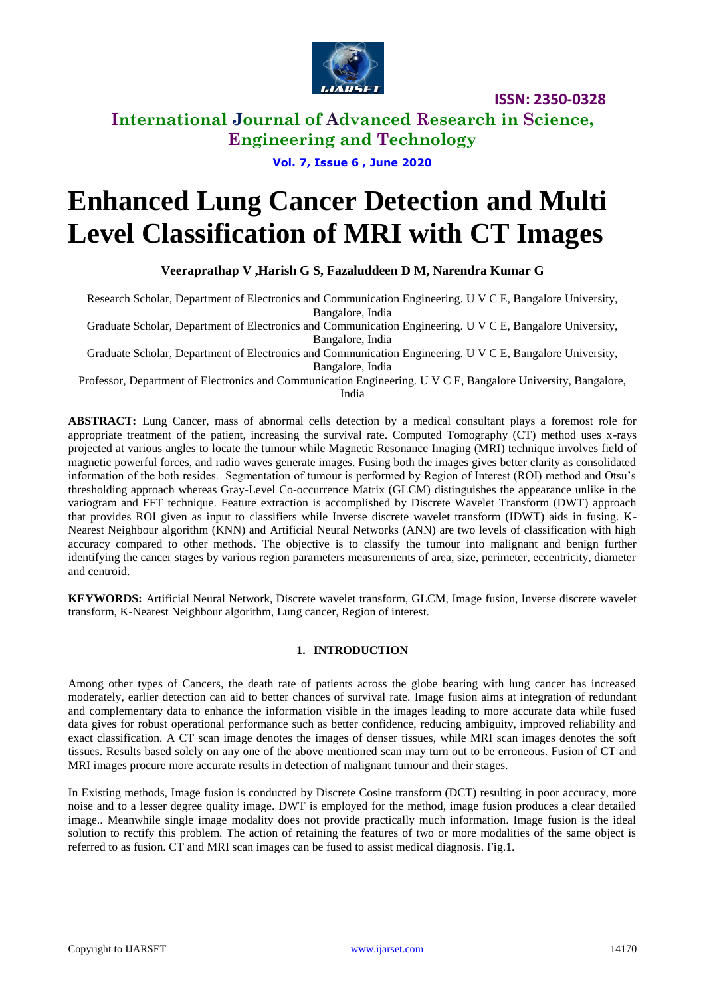

**ISSN: 2350-0328**

# **International Journal of Advanced Research in Science, Engineering and Technology**

**Vol. 7, Issue 6 , June 2020**

# **Enhanced Lung Cancer Detection and Multi Level Classification of MRI with CT Images**

**Veeraprathap V ,Harish G S, Fazaluddeen D M, Narendra Kumar G**

Research Scholar, Department of Electronics and Communication Engineering. U V C E, Bangalore University, Bangalore, India

Graduate Scholar, Department of Electronics and Communication Engineering. U V C E, Bangalore University, Bangalore, India

Graduate Scholar, Department of Electronics and Communication Engineering. U V C E, Bangalore University,

Bangalore, India

Professor, Department of Electronics and Communication Engineering. U V C E, Bangalore University, Bangalore, India

**ABSTRACT:** Lung Cancer, mass of abnormal cells detection by a medical consultant plays a foremost role for appropriate treatment of the patient, increasing the survival rate. Computed Tomography (CT) method uses x-rays projected at various angles to locate the tumour while Magnetic Resonance Imaging (MRI) technique involves field of magnetic powerful forces, and radio waves generate images. Fusing both the images gives better clarity as consolidated information of the both resides. Segmentation of tumour is performed by Region of Interest (ROI) method and Otsu's thresholding approach whereas Gray-Level Co-occurrence Matrix (GLCM) distinguishes the appearance unlike in the variogram and FFT technique. Feature extraction is accomplished by Discrete Wavelet Transform (DWT) approach that provides ROI given as input to classifiers while Inverse discrete wavelet transform (IDWT) aids in fusing. K-Nearest Neighbour algorithm (KNN) and Artificial Neural Networks (ANN) are two levels of classification with high accuracy compared to other methods. The objective is to classify the tumour into malignant and benign further identifying the cancer stages by various region parameters measurements of area, size, perimeter, eccentricity, diameter and centroid.

**KEYWORDS:** Artificial Neural Network, Discrete wavelet transform, GLCM, Image fusion, Inverse discrete wavelet transform, K-Nearest Neighbour algorithm, Lung cancer, Region of interest.

#### **1. INTRODUCTION**

Among other types of Cancers, the death rate of patients across the globe bearing with lung cancer has increased moderately, earlier detection can aid to better chances of survival rate. Image fusion aims at integration of redundant and complementary data to enhance the information visible in the images leading to more accurate data while fused data gives for robust operational performance such as better confidence, reducing ambiguity, improved reliability and exact classification. A CT scan image denotes the images of denser tissues, while MRI scan images denotes the soft tissues. Results based solely on any one of the above mentioned scan may turn out to be erroneous. Fusion of CT and MRI images procure more accurate results in detection of malignant tumour and their stages.

In Existing methods, Image fusion is conducted by Discrete Cosine transform (DCT) resulting in poor accuracy, more noise and to a lesser degree quality image. DWT is employed for the method, image fusion produces a clear detailed image.. Meanwhile single image modality does not provide practically much information. Image fusion is the ideal solution to rectify this problem. The action of retaining the features of two or more modalities of the same object is referred to as fusion. CT and MRI scan images can be fused to assist medical diagnosis. Fig.1.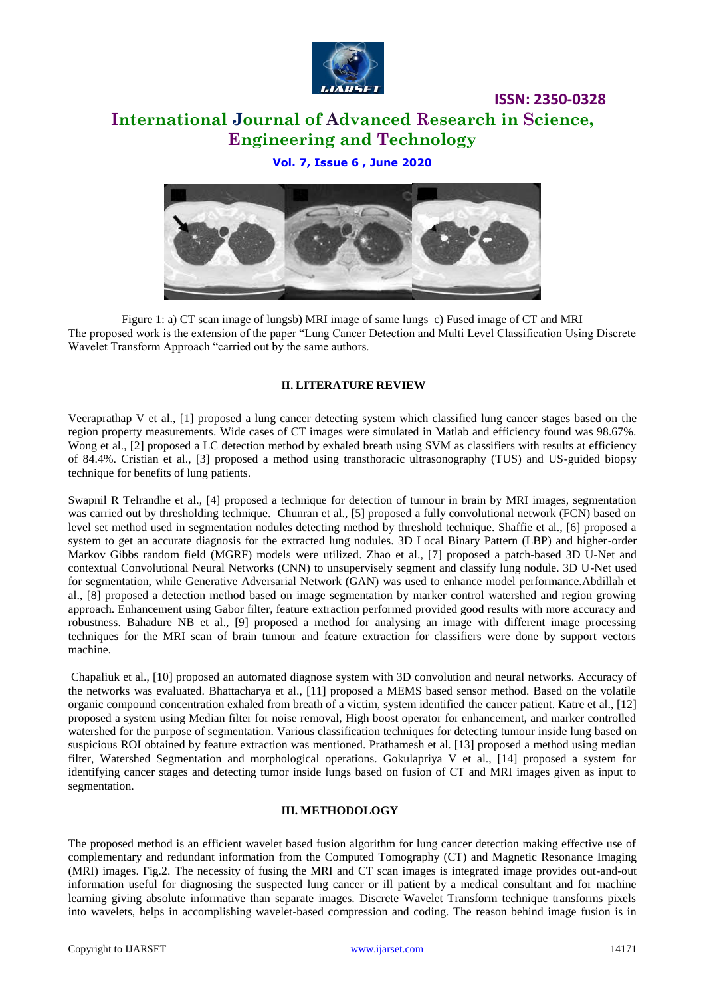

# **International Journal of Advanced Research in Science, Engineering and Technology**

**ISSN: 2350-0328**

### **Vol. 7, Issue 6 , June 2020**



Figure 1: a) CT scan image of lungsb) MRI image of same lungs c) Fused image of CT and MRI The proposed work is the extension of the paper "Lung Cancer Detection and Multi Level Classification Using Discrete Wavelet Transform Approach "carried out by the same authors.

#### **II. LITERATURE REVIEW**

Veeraprathap V et al., [1] proposed a lung cancer detecting system which classified lung cancer stages based on the region property measurements. Wide cases of CT images were simulated in Matlab and efficiency found was 98.67%. Wong et al., [2] proposed a LC detection method by exhaled breath using SVM as classifiers with results at efficiency of 84.4%. Cristian et al., [3] proposed a method using transthoracic ultrasonography (TUS) and US-guided biopsy technique for benefits of lung patients.

Swapnil R Telrandhe et al., [4] proposed a technique for detection of tumour in brain by MRI images, segmentation was carried out by thresholding technique. Chunran et al., [5] proposed a fully convolutional network (FCN) based on level set method used in segmentation nodules detecting method by threshold technique. Shaffie et al., [6] proposed a system to get an accurate diagnosis for the extracted lung nodules. 3D Local Binary Pattern (LBP) and higher-order Markov Gibbs random field (MGRF) models were utilized. Zhao et al., [7] proposed a patch-based 3D U-Net and contextual Convolutional Neural Networks (CNN) to unsupervisely segment and classify lung nodule. 3D U-Net used for segmentation, while Generative Adversarial Network (GAN) was used to enhance model performance.Abdillah et al., [8] proposed a detection method based on image segmentation by marker control watershed and region growing approach. Enhancement using Gabor filter, feature extraction performed provided good results with more accuracy and robustness. Bahadure NB et al., [9] proposed a method for analysing an image with different image processing techniques for the MRI scan of brain tumour and feature extraction for classifiers were done by support vectors machine.

Chapaliuk et al., [10] proposed an automated diagnose system with 3D convolution and neural networks. Accuracy of the networks was evaluated. Bhattacharya et al., [11] proposed a MEMS based sensor method. Based on the volatile organic compound concentration exhaled from breath of a victim, system identified the cancer patient. Katre et al., [12] proposed a system using Median filter for noise removal, High boost operator for enhancement, and marker controlled watershed for the purpose of segmentation. Various classification techniques for detecting tumour inside lung based on suspicious ROI obtained by feature extraction was mentioned. Prathamesh et al. [13] proposed a method using median filter, Watershed Segmentation and morphological operations. Gokulapriya V et al., [14] proposed a system for identifying cancer stages and detecting tumor inside lungs based on fusion of CT and MRI images given as input to segmentation.

#### **III. METHODOLOGY**

The proposed method is an efficient wavelet based fusion algorithm for lung cancer detection making effective use of complementary and redundant information from the Computed Tomography (CT) and Magnetic Resonance Imaging (MRI) images. Fig.2. The necessity of fusing the MRI and CT scan images is integrated image provides out-and-out information useful for diagnosing the suspected lung cancer or ill patient by a medical consultant and for machine learning giving absolute informative than separate images. Discrete Wavelet Transform technique transforms pixels into wavelets, helps in accomplishing wavelet-based compression and coding. The reason behind image fusion is in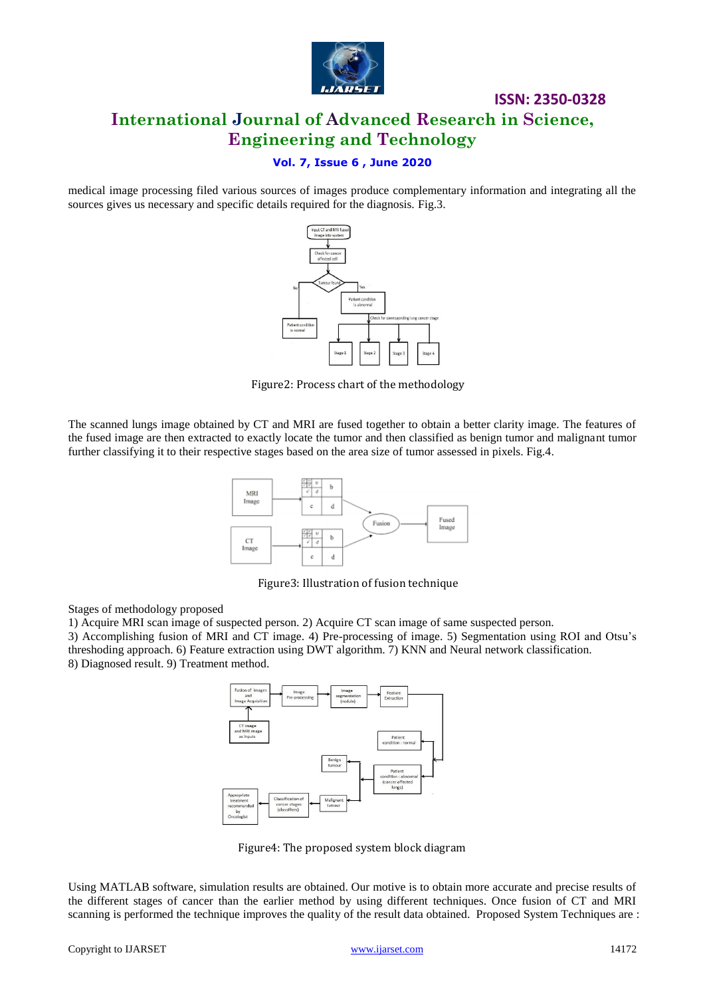

# **ISSN: 2350-0328 International Journal of Advanced Research in Science, Engineering and Technology**

### **Vol. 7, Issue 6 , June 2020**

medical image processing filed various sources of images produce complementary information and integrating all the sources gives us necessary and specific details required for the diagnosis. Fig.3.



Figure2: Process chart of the methodology

The scanned lungs image obtained by CT and MRI are fused together to obtain a better clarity image. The features of the fused image are then extracted to exactly locate the tumor and then classified as benign tumor and malignant tumor further classifying it to their respective stages based on the area size of tumor assessed in pixels. Fig.4.



Figure3: Illustration of fusion technique

Stages of methodology proposed

1) Acquire MRI scan image of suspected person. 2) Acquire CT scan image of same suspected person.

3) Accomplishing fusion of MRI and CT image. 4) Pre-processing of image. 5) Segmentation using ROI and Otsu's threshoding approach. 6) Feature extraction using DWT algorithm. 7) KNN and Neural network classification. 8) Diagnosed result. 9) Treatment method.



Figure4: The proposed system block diagram

Using MATLAB software, simulation results are obtained. Our motive is to obtain more accurate and precise results of the different stages of cancer than the earlier method by using different techniques. Once fusion of CT and MRI scanning is performed the technique improves the quality of the result data obtained. Proposed System Techniques are :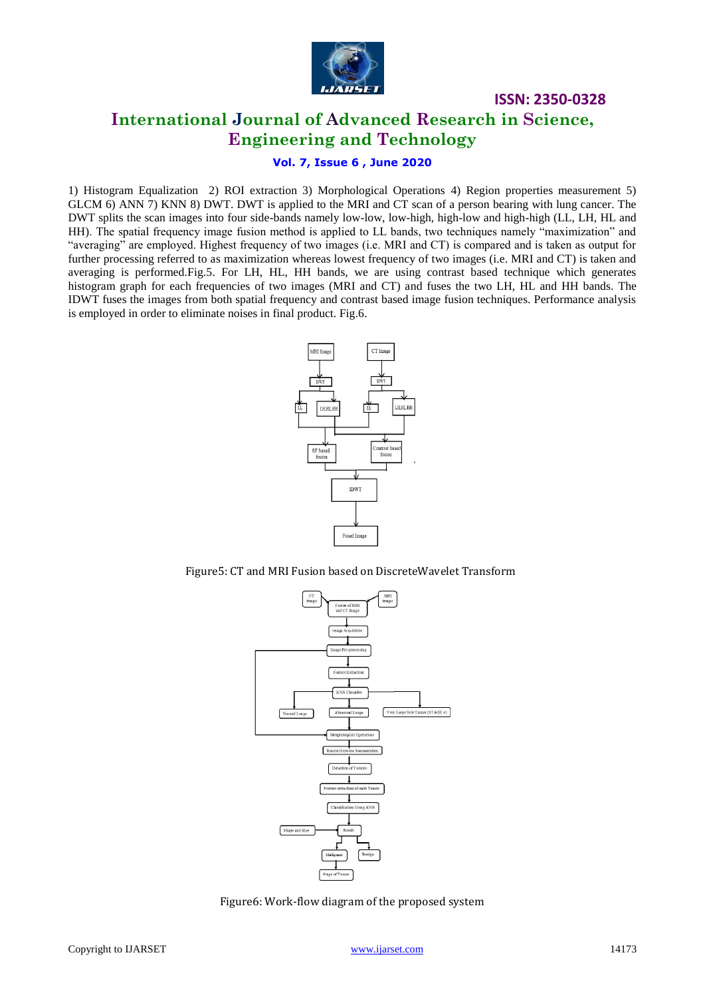

# **International Journal of Advanced Research in Science, Engineering and Technology**

**ISSN: 2350-0328**

### **Vol. 7, Issue 6 , June 2020**

1) Histogram Equalization 2) ROI extraction 3) Morphological Operations 4) Region properties measurement 5) GLCM 6) ANN 7) KNN 8) DWT. DWT is applied to the MRI and CT scan of a person bearing with lung cancer. The DWT splits the scan images into four side-bands namely low-low, low-high, high-low and high-high (LL, LH, HL and HH). The spatial frequency image fusion method is applied to LL bands, two techniques namely "maximization" and "averaging" are employed. Highest frequency of two images (i.e. MRI and CT) is compared and is taken as output for further processing referred to as maximization whereas lowest frequency of two images (i.e. MRI and CT) is taken and averaging is performed.Fig.5. For LH, HL, HH bands, we are using contrast based technique which generates histogram graph for each frequencies of two images (MRI and CT) and fuses the two LH, HL and HH bands. The IDWT fuses the images from both spatial frequency and contrast based image fusion techniques. Performance analysis is employed in order to eliminate noises in final product. Fig.6.



Figure5: CT and MRI Fusion based on DiscreteWavelet Transform



Figure6: Work-flow diagram of the proposed system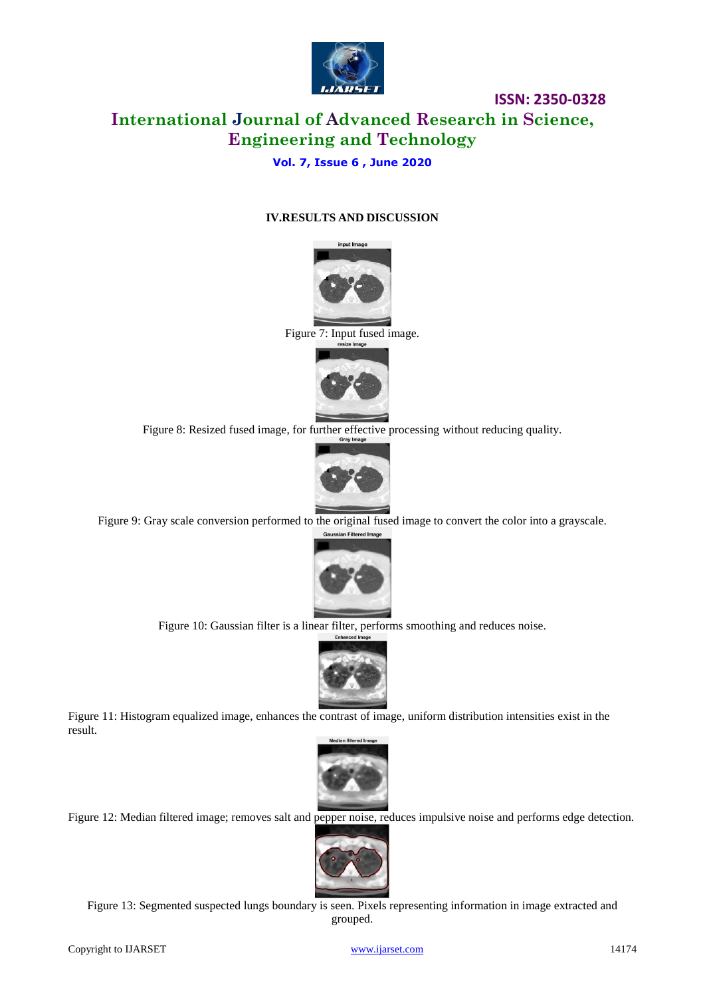

# **ISSN: 2350-0328 International Journal of Advanced Research in Science, Engineering and Technology**

### **Vol. 7, Issue 6 , June 2020**

#### **IV.RESULTS AND DISCUSSION**

input Imag



Figure 8: Resized fused image, for further effective processing without reducing quality.



Figure 9: Gray scale conversion performed to the original fused image to convert the color into a grayscale.



Figure 10: Gaussian filter is a linear filter, performs smoothing and reduces noise.



Figure 11: Histogram equalized image, enhances the contrast of image, uniform distribution intensities exist in the result.



Figure 12: Median filtered image; removes salt and pepper noise, reduces impulsive noise and performs edge detection.



Figure 13: Segmented suspected lungs boundary is seen. Pixels representing information in image extracted and grouped.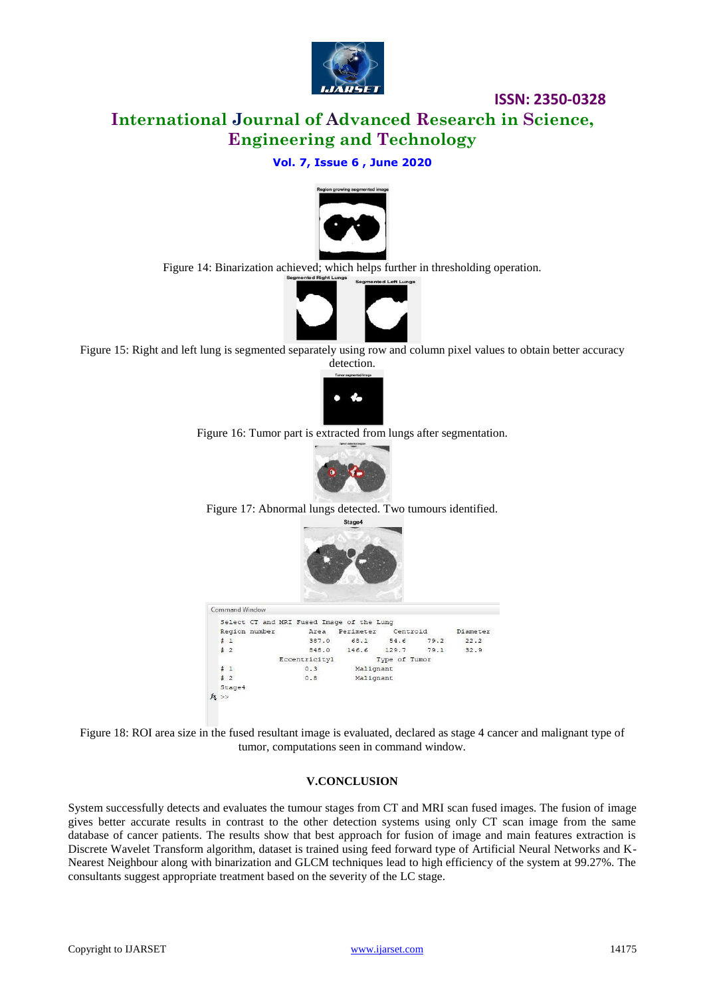

**ISSN: 2350-0328**

# **International Journal of Advanced Research in Science, Engineering and Technology**

### **Vol. 7, Issue 6 , June 2020**



Figure 14: Binarization achieved; which helps further in thresholding operation.



Figure 15: Right and left lung is segmented separately using row and column pixel values to obtain better accuracy detection.



Figure 16: Tumor part is extracted from lungs after segmentation.



Figure 17: Abnormal lungs detected. Two tumours identified.



Figure 18: ROI area size in the fused resultant image is evaluated, declared as stage 4 cancer and malignant type of tumor, computations seen in command window.

#### **V.CONCLUSION**

System successfully detects and evaluates the tumour stages from CT and MRI scan fused images. The fusion of image gives better accurate results in contrast to the other detection systems using only CT scan image from the same database of cancer patients. The results show that best approach for fusion of image and main features extraction is Discrete Wavelet Transform algorithm, dataset is trained using feed forward type of Artificial Neural Networks and K-Nearest Neighbour along with binarization and GLCM techniques lead to high efficiency of the system at 99.27%. The consultants suggest appropriate treatment based on the severity of the LC stage.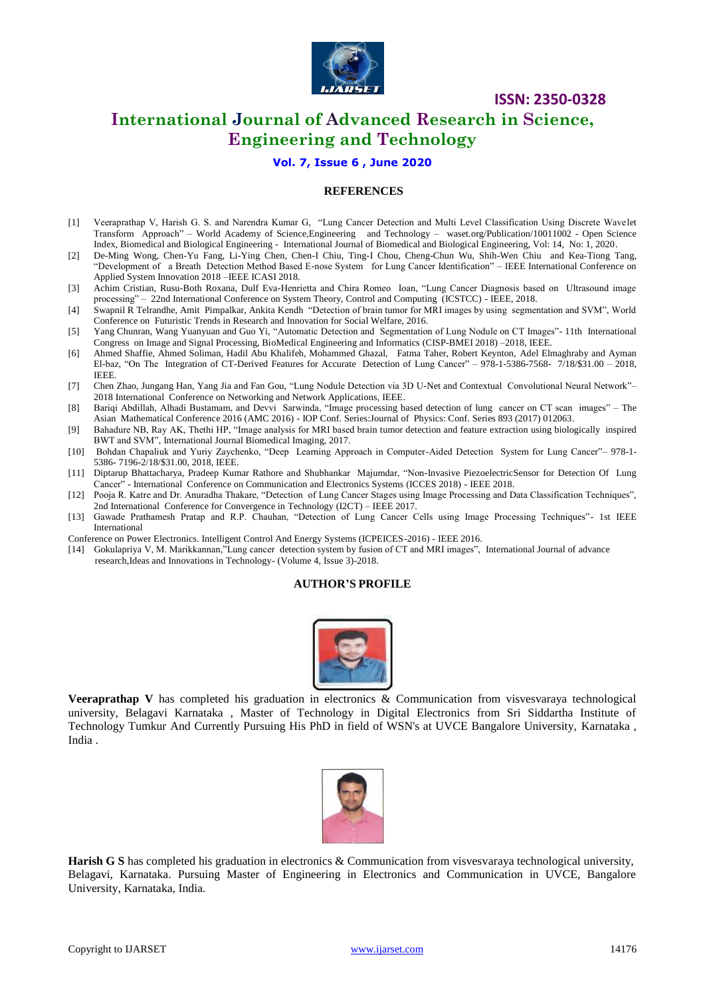

**ISSN: 2350-0328**

# **International Journal of Advanced Research in Science, Engineering and Technology**

**Vol. 7, Issue 6 , June 2020**

#### **REFERENCES**

- [1] Veeraprathap V, Harish G. S. and Narendra Kumar G, "Lung Cancer Detection and Multi Level Classification Using Discrete Wavelet Transform Approach" – World Academy of Science,Engineering and Technology – waset.org/Publication/10011002 - Open Science Index, Biomedical and Biological Engineering - International Journal of Biomedical and Biological Engineering, Vol: 14, No: 1, 2020.
- [2] De-Ming Wong, Chen-Yu Fang, Li-Ying Chen, Chen-I Chiu, Ting-I Chou, Cheng-Chun Wu, Shih-Wen Chiu and Kea-Tiong Tang, "Development of a Breath Detection Method Based E-nose System for Lung Cancer Identification" – IEEE International Conference on Applied System Innovation 2018 –IEEE ICASI 2018.
- [3] Achim Cristian, Rusu-Both Roxana, Dulf Eva-Henrietta and Chira Romeo Ioan, "Lung Cancer Diagnosis based on Ultrasound image processing" – 22nd International Conference on System Theory, Control and Computing (ICSTCC) - IEEE, 2018.
- [4] Swapnil R Telrandhe, Amit Pimpalkar, Ankita Kendh "Detection of brain tumor for MRI images by using segmentation and SVM", World Conference on Futuristic Trends in Research and Innovation for Social Welfare, 2016.
- [5] Yang Chunran, Wang Yuanyuan and Guo Yi, "Automatic Detection and Segmentation of Lung Nodule on CT Images"- 11th International Congress on Image and Signal Processing, BioMedical Engineering and Informatics (CISP-BMEI 2018) –2018, IEEE.
- [6] Ahmed Shaffie, Ahmed Soliman, Hadil Abu Khalifeh, Mohammed Ghazal, Fatma Taher, Robert Keynton, Adel Elmaghraby and Ayman El-baz, "On The Integration of CT-Derived Features for Accurate Detection of Lung Cancer" – 978-1-5386-7568- 7/18/\$31.00 – 2018, IEEE.
- [7] Chen Zhao, Jungang Han, Yang Jia and Fan Gou, "Lung Nodule Detection via 3D U-Net and Contextual Convolutional Neural Network"– 2018 International Conference on Networking and Network Applications, IEEE.
- [8] Bariqi Abdillah, Alhadi Bustamam, and Devvi Sarwinda, "Image processing based detection of lung cancer on CT scan images" The Asian Mathematical Conference 2016 (AMC 2016) - IOP Conf. Series:Journal of Physics: Conf. Series 893 (2017) 012063.
- [9] Bahadure NB, Ray AK, Thethi HP, "Image analysis for MRI based brain tumor detection and feature extraction using biologically inspired BWT and SVM", International Journal Biomedical Imaging, 2017.
- [10] Bohdan Chapaliuk and Yuriy Zaychenko, "Deep Learning Approach in Computer-Aided Detection System for Lung Cancer"– 978-1- 5386- 7196-2/18/\$31.00, 2018, IEEE.
- [11] Diptarup Bhattacharya, Pradeep Kumar Rathore and Shubhankar Majumdar, "Non-Invasive PiezoelectricSensor for Detection Of Lung Cancer" - International Conference on Communication and Electronics Systems (ICCES 2018) - IEEE 2018.
- [12] Pooja R. Katre and Dr. Anuradha Thakare, "Detection of Lung Cancer Stages using Image Processing and Data Classification Techniques", 2nd International Conference for Convergence in Technology (I2CT) – IEEE 2017.
- [13] Gawade Prathamesh Pratap and R.P. Chauhan, "Detection of Lung Cancer Cells using Image Processing Techniques"- 1st IEEE International
- Conference on Power Electronics. Intelligent Control And Energy Systems (ICPEICES-2016) IEEE 2016.
- [14] Gokulapriya V, M. Marikkannan,"Lung cancer detection system by fusion of CT and MRI images", International Journal of advance research,Ideas and Innovations in Technology- (Volume 4, Issue 3)-2018.

#### **AUTHOR'S PROFILE**



**Veeraprathap V** has completed his graduation in electronics & Communication from visvesvaraya technological university, Belagavi Karnataka , Master of Technology in Digital Electronics from Sri Siddartha Institute of Technology Tumkur And Currently Pursuing His PhD in field of WSN's at UVCE Bangalore University, Karnataka , India .



**Harish G S** has completed his graduation in electronics & Communication from visvesvaraya technological university, Belagavi, Karnataka. Pursuing Master of Engineering in Electronics and Communication in UVCE, Bangalore University, Karnataka, India.